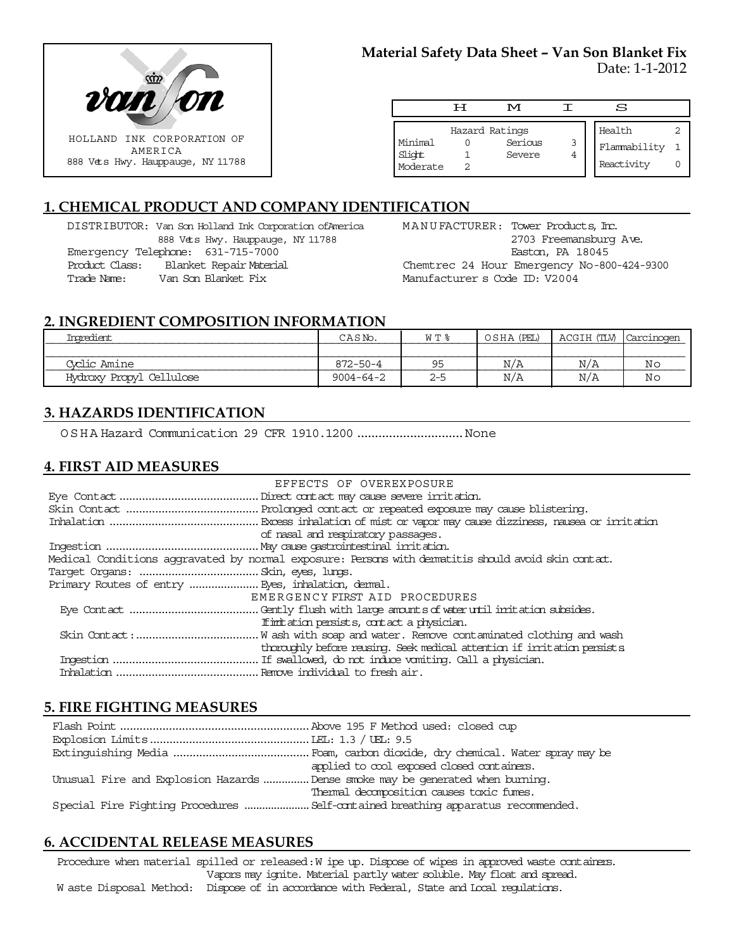

#### **Material Safety Data Sheet – Van Son Blanket Fix** Date: 1-1-2012

|                               | ਸ | M                                   |   | s                                    |  |
|-------------------------------|---|-------------------------------------|---|--------------------------------------|--|
| Minimal<br>Slight<br>Moderate |   | Hazard Ratings<br>Serious<br>Severe | 3 | Health<br>Flammability<br>Reactivity |  |

# **1. CHEMICAL PRODUCT AND COMPANY IDENTIFICATION**

DISTRIBUTOR: Van Son Holland Ink Corporation ofAmerica 888 Vets Hwy. Hauppauge, NY 11788 Emergency Telephone: 631-715-7000 Product Class: Blanket Repair Material Trade Name: Van Son Blanket Fix

MANUFACTURER: Tower Products, Inc. 2703 Freemansburg Ave. Easton, PA 18045 Chemtrec 24 Hour Emergency No-800-424-9300 Manufacturer s Code ID: V2004

### **2. INGREDIENT COMPOSITION INFORMATION**

| Inoredient.              | CASNo.          | W T %     | OSHA (PEL) | ACGIH (TLV) | Carcinogen |
|--------------------------|-----------------|-----------|------------|-------------|------------|
|                          |                 |           |            |             |            |
| Coclic Amine             | $872 - 50 - 4$  | <b>QF</b> | N/A        | N/A         | Nc         |
| Hydroxy Propyl Cellulose | $9004 - 64 - 2$ | $2 - 5$   | N/A        | N/A         | Nc         |

# **3. HAZARDS IDENTIFICATION**

OSHA Hazard Communication 29 CFR 1910.1200..............................None

## **4. FIRST AID MEASURES**

|                                                                                                    | EFFECTS OF OVEREXPOSURE                                                   |  |  |  |
|----------------------------------------------------------------------------------------------------|---------------------------------------------------------------------------|--|--|--|
|                                                                                                    |                                                                           |  |  |  |
|                                                                                                    |                                                                           |  |  |  |
|                                                                                                    |                                                                           |  |  |  |
|                                                                                                    | of nasal and respiratory passages.                                        |  |  |  |
|                                                                                                    |                                                                           |  |  |  |
| Medical Conditions aggravated by normal exposure: Persons with dematitis should avoid skin contat. |                                                                           |  |  |  |
|                                                                                                    |                                                                           |  |  |  |
|                                                                                                    |                                                                           |  |  |  |
|                                                                                                    | EMERGENCY FIRST AID PROCEDURES                                            |  |  |  |
|                                                                                                    |                                                                           |  |  |  |
|                                                                                                    | If initiation persists, contact a physician.                              |  |  |  |
|                                                                                                    |                                                                           |  |  |  |
|                                                                                                    | thoroughly before reusing. Seek medical attention if irritation persists. |  |  |  |
|                                                                                                    |                                                                           |  |  |  |
|                                                                                                    |                                                                           |  |  |  |

## **5. FIRE FIGHTING MEASURES**

|                                                                               | applied to cool exposed closed containers.                                        |
|-------------------------------------------------------------------------------|-----------------------------------------------------------------------------------|
| Unusual Fire and Explosion Hazards Dense smoke may be generated when burning. |                                                                                   |
|                                                                               | Thermal decomposition causes toxic fumes.                                         |
|                                                                               | Special Fire Fighting Procedures  Self-cartained breathing apparatus recommended. |

## **6. ACCIDENTAL RELEASE MEASURES**

Procedure when material spilled or released: W ipe up. Dispose of wipes in approved waste containers. Vapors may ignite. Material partly water soluble. May float and spread. W aste Disposal Method: Dispose of in accordance with Federal, State and Local regulations.